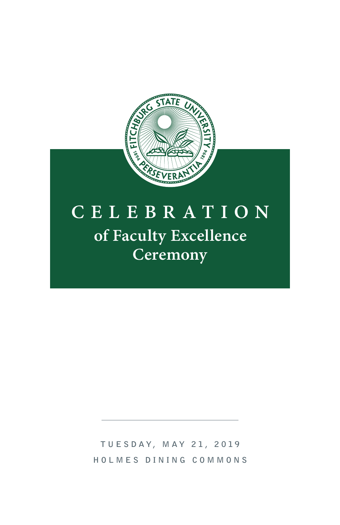

# **CELEBRATION of Faculty Excellence Ceremony**

**TUESDAY, MAY 21, 2019 HOLMES DINING COMMONS**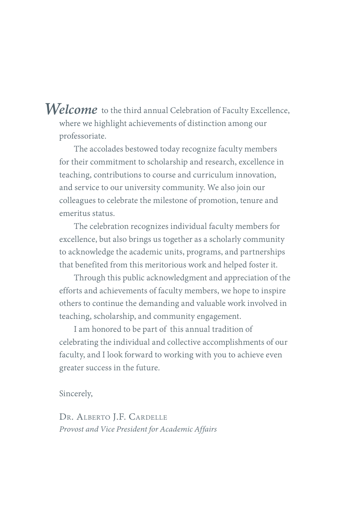Welcome to the third annual Celebration of Faculty Excellence, where we highlight achievements of distinction among our professoriate.

The accolades bestowed today recognize faculty members for their commitment to scholarship and research, excellence in teaching, contributions to course and curriculum innovation, and service to our university community. We also join our colleagues to celebrate the milestone of promotion, tenure and emeritus status.

The celebration recognizes individual faculty members for excellence, but also brings us together as a scholarly community to acknowledge the academic units, programs, and partnerships that benefited from this meritorious work and helped foster it.

Through this public acknowledgment and appreciation of the efforts and achievements of faculty members, we hope to inspire others to continue the demanding and valuable work involved in teaching, scholarship, and community engagement.

I am honored to be part of this annual tradition of celebrating the individual and collective accomplishments of our faculty, and I look forward to working with you to achieve even greater success in the future.

#### Sincerely,

DR. ALBERTO **J.F. CARDELLE** *Provost and Vice President for Academic Affairs*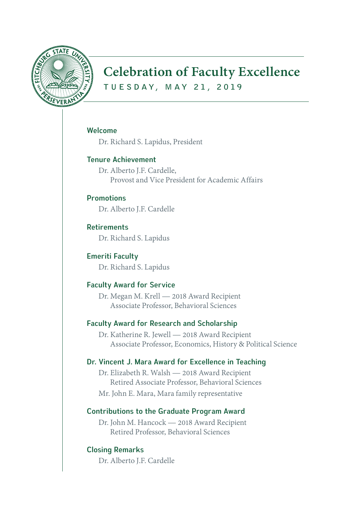

## **Celebration of Faculty Excellence**

**TUESDAY, MAY 21, 2019**

#### Welcome

Dr. Richard S. Lapidus, President

### Tenure Achievement

Dr. Alberto J.F. Cardelle, Provost and Vice President for Academic Affairs

### **Promotions**

Dr. Alberto J.F. Cardelle

## **Retirements**

Dr. Richard S. Lapidus

## Emeriti Faculty

Dr. Richard S. Lapidus

#### Faculty Award for Service

Dr. Megan M. Krell — 2018 Award Recipient Associate Professor, Behavioral Sciences

## Faculty Award for Research and Scholarship

Dr. Katherine R. Jewell — 2018 Award Recipient Associate Professor, Economics, History & Political Science

#### Dr. Vincent J. Mara Award for Excellence in Teaching

Dr. Elizabeth R. Walsh — 2018 Award Recipient Retired Associate Professor, Behavioral Sciences Mr. John E. Mara, Mara family representative

#### Contributions to the Graduate Program Award

Dr. John M. Hancock — 2018 Award Recipient Retired Professor, Behavioral Sciences

#### Closing Remarks

Dr. Alberto J.F. Cardelle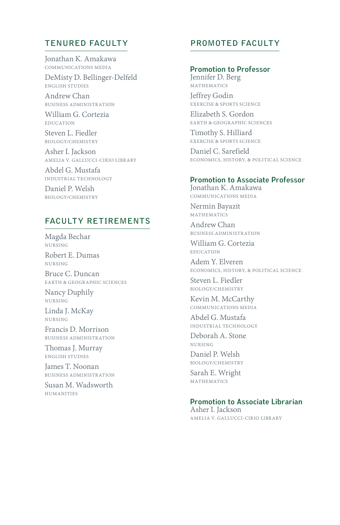### **TENURED FACULTY**

Jonathan K. Amakawa .<br>COMMUNICATIONS MEDIA

DeMisty D. Bellinger-Delfeld ENGLISH STUDIES

Andrew Chan BUSINESS ADMINISTRATION

William G. Cortezia EDUCATION

Steven L. Fiedler BIOLOGY/CHEMISTRY

Asher I. Jackson AMELIA V. GALLUCCI-CIRIO LIBRARY

Abdel G. Mustafa INDUSTRIAL TECHNOLOGY

Daniel P. Welsh BIOLOGY/CHEMISTRY

## **FACULTY RETIREMENTS**

Magda Bechar NURSING

Robert E. Dumas NURSING

Bruce C. Duncan EARTH & GEOGRAPHIC SCIENCES

Nancy Duphily NURSING

Linda J. McKay NURSING

Francis D. Morrison BUSINESS ADMINISTRATION

Thomas J. Murray ENGLISH STUDIES

James T. Noonan .<br>BUSINESS ADMINISTRATION

Susan M. Wadsworth HUMANITIES

## **PROMOTED FACULTY**

Promotion to Professor Jennifer D. Berg

MATHEMATICS Jeffrey Godin EXERCISE & SPORTS SCIENCE

Elizabeth S. Gordon EARTH & GEOGRAPHIC SCIENCES

Timothy S. Hilliard EXERCISE & SPORTS SCIENCE

Daniel C. Sarefield ECONOMICS, HISTORY, & POLITICAL SCIENCE

#### Promotion to Associate Professor

Jonathan K. Amakawa COMMUNICATIONS MEDIA Nermin Bayazit

MATHEMATICS

Andrew Chan BUSINESS ADMINISTRATION

William G. Cortezia EDUCATION

Adem Y. Elveren ECONOMICS, HISTORY, & POLITICAL SCIENCE

Steven L. Fiedler BIOLOGY/CHEMISTRY

Kevin M. McCarthy COMMUNICATIONS MEDIA

Abdel G. Mustafa INDUSTRIAL TECHNOLOGY

Deborah A. Stone NURSING

Daniel P. Welsh BIOLOGY/CHEMISTRY

Sarah E. Wright MATHEMATICS

## Promotion to Associate Librarian

Asher I. Jackson AMELIA V. GALLUCCI-CIRIO LIBRARY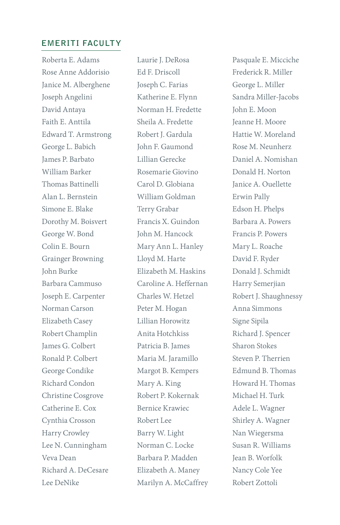### **EMERITI FACULTY**

Roberta E. Adams Rose Anne Addorisio Janice M. Alberghene Joseph Angelini David Antaya Faith E. Anttila Edward T. Armstrong George L. Babich James P. Barbato William Barker Thomas Battinelli Alan L. Bernstein Simone E. Blake Dorothy M. Boisvert George W. Bond Colin E. Bourn Grainger Browning John Burke Barbara Cammuso Joseph E. Carpenter Norman Carson Elizabeth Casey Robert Champlin James G. Colbert Ronald P. Colbert George Condike Richard Condon Christine Cosgrove Catherine E. Cox Cynthia Crosson Harry Crowley Lee N. Cunningham Veva Dean Richard A. DeCesare Lee DeNike

Laurie J. DeRosa Ed F. Driscoll Joseph C. Farias Katherine E. Flynn Norman H. Fredette Sheila A. Fredette Robert J. Gardula John F. Gaumond Lillian Gerecke Rosemarie Giovino Carol D. Globiana William Goldman Terry Grabar Francis X. Guindon John M. Hancock Mary Ann L. Hanley Lloyd M. Harte Elizabeth M. Haskins Caroline A. Heffernan Charles W. Hetzel Peter M. Hogan Lillian Horowitz Anita Hotchkiss Patricia B. James Maria M. Jaramillo Margot B. Kempers Mary A. King Robert P. Kokernak Bernice Krawiec Robert Lee Barry W. Light Norman C. Locke Barbara P. Madden Elizabeth A. Maney Marilyn A. McCaffrey Pasquale E. Micciche Frederick R. Miller George L. Miller Sandra Miller-Jacobs John E. Moon Jeanne H. Moore Hattie W. Moreland Rose M. Neunherz Daniel A. Nomishan Donald H. Norton Janice A. Ouellette Erwin Pally Edson H. Phelps Barbara A. Powers Francis P. Powers Mary L. Roache David F. Ryder Donald J. Schmidt Harry Semerjian Robert J. Shaughnessy Anna Simmons Signe Sipila Richard J. Spencer Sharon Stokes Steven P. Therrien Edmund B. Thomas Howard H. Thomas Michael H. Turk Adele L. Wagner Shirley A. Wagner Nan Wiegersma Susan R. Williams Jean B. Worfolk Nancy Cole Yee Robert Zottoli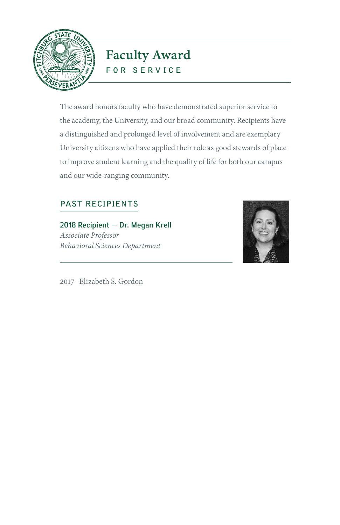

## **Faculty Award FOR SERVICE**

The award honors faculty who have demonstrated superior service to the academy, the University, and our broad community. Recipients have a distinguished and prolonged level of involvement and are exemplary University citizens who have applied their role as good stewards of place to improve student learning and the quality of life for both our campus and our wide-ranging community.

## **PAST RECIPIENTS**

2018 Recipient — Dr. Megan Krell *Associate Professor Behavioral Sciences Department*



2017 Elizabeth S. Gordon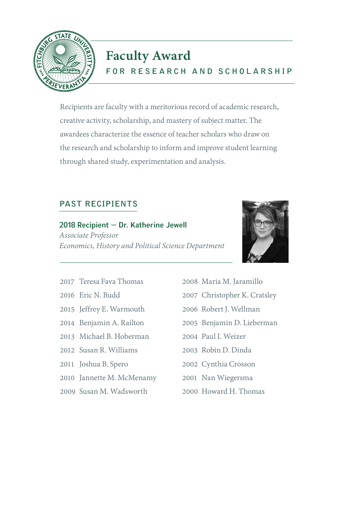

## **Faculty Award FOR RESEARCH AND SCHOLARSHIP**

Recipients are faculty with a meritorious record of academic research, creative activity, scholarship, and mastery of subject matter. The awardees characterize the essence of teacher scholars who draw on the research and scholarship to inform and improve student learning through shared study, experimentation and analysis.

## **PAST RECIPIENTS**

## 2018 Recipient — Dr. Katherine Jewell *Associate Professor*

*Economics, History and Political Science Department*



- Teresa Fava Thomas
- Eric N. Budd
- Jeffrey E. Warmouth
- Benjamin A. Railton
- Michael B. Hoberman
- Susan R. Williams
- Joshua B. Spero
- Jannette M. McMenamy
- Susan M. Wadsworth
- Maria M. Jaramillo
- Christopher K. Cratsley
- Robert J. Wellman
- Benjamin D. Lieberman
- Paul I. Weizer
- Robin D. Dinda
- Cynthia Crosson
- Nan Wiegersma
- Howard H. Thomas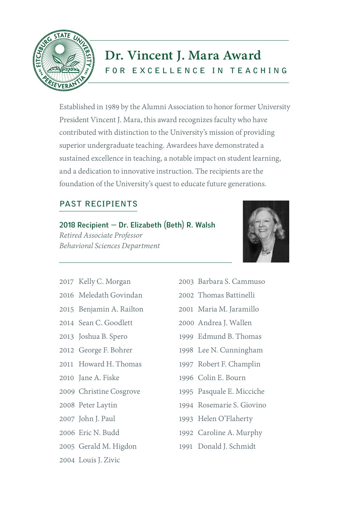

## **Dr. Vincent J. Mara Award FOR EXCELLENCE IN TEACHING**

Established in 1989 by the Alumni Association to honor former University President Vincent J. Mara, this award recognizes faculty who have contributed with distinction to the University's mission of providing superior undergraduate teaching. Awardees have demonstrated a sustained excellence in teaching, a notable impact on student learning, and a dedication to innovative instruction. The recipients are the foundation of the University's quest to educate future generations.

## **PAST RECIPIENTS**

#### 2018 Recipient — Dr. Elizabeth (Beth) R. Walsh

*Retired Associate Professor Behavioral Sciences Department*



- Kelly C. Morgan
- Meledath Govindan
- Benjamin A. Railton
- Sean C. Goodlett
- Joshua B. Spero
- George F. Bohrer
- Howard H. Thomas
- Jane A. Fiske
- Christine Cosgrove
- Peter Laytin
- John J. Paul
- Eric N. Budd
- Gerald M. Higdon
- Louis J. Zivic
- Barbara S. Cammuso
- Thomas Battinelli
- Maria M. Jaramillo
- Andrea J. Wallen
- Edmund B. Thomas
- Lee N. Cunningham
- Robert F. Champlin
- Colin E. Bourn
- Pasquale E. Micciche
- Rosemarie S. Giovino
- Helen O'Flaherty
- Caroline A. Murphy
- Donald J. Schmidt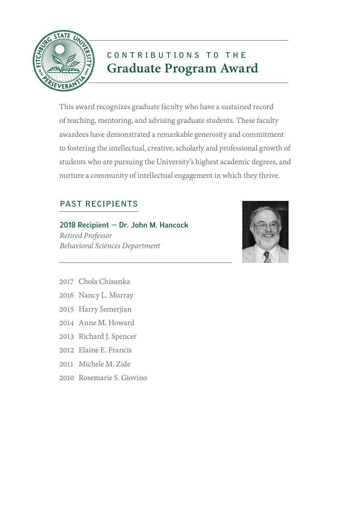

## **CONTRIBUTIONS TO THE Graduate Program Award**

This award recognizes graduate faculty who have a sustained record of teaching, mentoring, and advising graduate students. These faculty awardees have demonstrated a remarkable generosity and commitment to fostering the intellectual, creative, scholarly and professional growth of students who are pursuing the University's highest academic degrees, and nurture a community of intellectual engagement in which they thrive.

## **PAST RECIPIENTS**

2018 Recipient — Dr. John M. Hancock *Retired Professor Behavioral Sciences Department*



- 2017 Chola Chisunka
- 2016 Nancy L. Murray
- 2015 Harry Semerjian
- 2014 Anne M. Howard
- 2013 Richard J. Spencer
- 2012 Elaine E. Francis
- 2011 Michele M. Zide
- 2010 Rosemarie S. Giovino